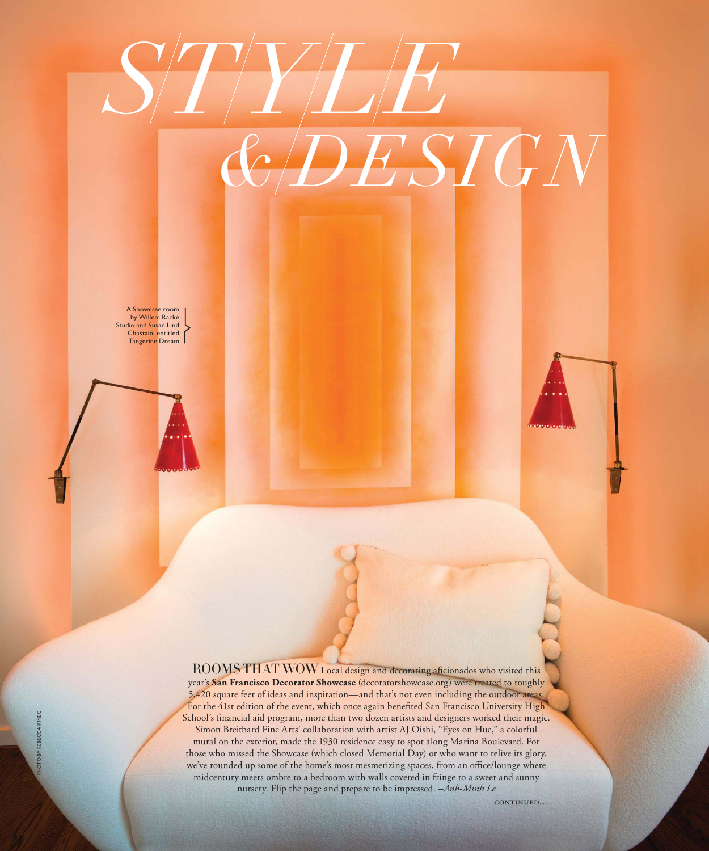# *STYLE & DESIGN*

A Showcase room by Willem Racké Studio and Susan Lind Chastain, entitled Tangerine Dream

> ROOMS THAT WOW Local design and decorating aficionados who visited this year's **San Francisco Decorator Showcase** (decoratorshowcase.org) were treated to roughly 5,420 square feet of ideas and inspiration—and that's not even including the outdoor areas. For the 41st edition of the event, which once again benefited San Francisco University High School's financial aid program, more than two dozen artists and designers worked their magic. Simon Breitbard Fine Arts' collaboration with artist AJ Oishi, "Eyes on Hue," a colorful mural on the exterior, made the 1930 residence easy to spot along Marina Boulevard. For those who missed the Showcase (which closed Memorial Day) or who want to relive its glory, we've rounded up some of the home's most mesmerizing spaces, from an office/lounge where midcentury meets ombre to a bedroom with walls covered in fringe to a sweet and sunny nursery. Flip the page and prepare to be impressed. *–Anh-Minh Le*

> > continued…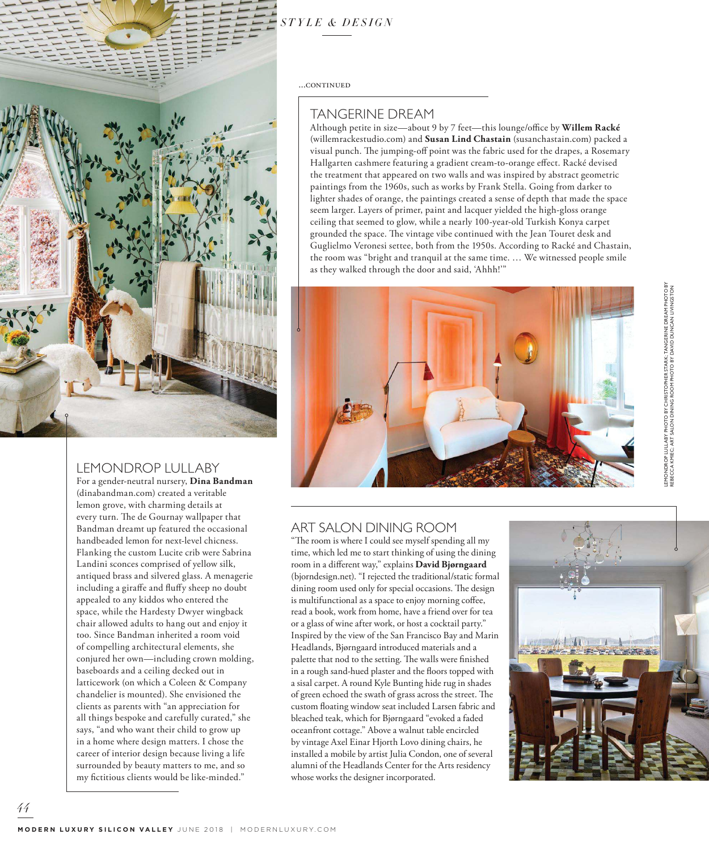### *STYLE & DESIGN*

...CONTINUED

#### TANGERINE DREAM

Although petite in size—about 9 by 7 feet—this lounge/office by **Willem Racké**  (willemrackestudio.com) and **Susan Lind Chastain** (susanchastain.com) packed a visual punch. The jumping-off point was the fabric used for the drapes, a Rosemary Hallgarten cashmere featuring a gradient cream-to-orange effect. Racké devised the treatment that appeared on two walls and was inspired by abstract geometric paintings from the 1960s, such as works by Frank Stella. Going from darker to lighter shades of orange, the paintings created a sense of depth that made the space seem larger. Layers of primer, paint and lacquer yielded the high-gloss orange ceiling that seemed to glow, while a nearly 100-year-old Turkish Konya carpet grounded the space. The vintage vibe continued with the Jean Touret desk and Guglielmo Veronesi settee, both from the 1950s. According to Racké and Chastain, the room was "bright and tranquil at the same time. … We witnessed people smile as they walked through the door and said, 'Ahhh!'"



## LEMONDROP LULLABY PHOTO BY CHRISTOPHER STARK; TANGERINE DREAM PHOTO BY DNDROP LULLABY PHOTO BY CHRISTOPHER STARK; TANGERINE DREAM PHOTO E<br>CCCA KMIEC; ART SALON DINING ROOM PHOTO BY DAVID DUNCAN LIVINGSTON REBECCA KMIEC; ART SALON DINING ROOM PHOTO BY DAVID DUNCAN LIVINGSTON

#### ART SALON DINING ROOM

"The room is where I could see myself spending all my time, which led me to start thinking of using the dining room in a different way," explains **David Bjørngaard**  (bjorndesign.net). "I rejected the traditional/static formal dining room used only for special occasions. The design is multifunctional as a space to enjoy morning coffee, read a book, work from home, have a friend over for tea or a glass of wine after work, or host a cocktail party." Inspired by the view of the San Francisco Bay and Marin Headlands, Bjørngaard introduced materials and a palette that nod to the setting. The walls were finished in a rough sand-hued plaster and the floors topped with a sisal carpet. A round Kyle Bunting hide rug in shades of green echoed the swath of grass across the street. The custom floating window seat included Larsen fabric and bleached teak, which for Bjørngaard "evoked a faded oceanfront cottage." Above a walnut table encircled by vintage Axel Einar Hjorth Lovo dining chairs, he installed a mobile by artist Julia Condon, one of several alumni of the Headlands Center for the Arts residency whose works the designer incorporated.





#### LEMONDROP LULLABY

For a gender-neutral nursery, **Dina Bandman** (dinabandman.com) created a veritable lemon grove, with charming details at every turn. The de Gournay wallpaper that Bandman dreamt up featured the occasional handbeaded lemon for next-level chicness. Flanking the custom Lucite crib were Sabrina Landini sconces comprised of yellow silk, antiqued brass and silvered glass. A menagerie including a giraffe and fluffy sheep no doubt appealed to any kiddos who entered the space, while the Hardesty Dwyer wingback chair allowed adults to hang out and enjoy it too. Since Bandman inherited a room void of compelling architectural elements, she conjured her own—including crown molding, baseboards and a ceiling decked out in latticework (on which a Coleen & Company chandelier is mounted). She envisioned the clients as parents with "an appreciation for all things bespoke and carefully curated," she says, "and who want their child to grow up in a home where design matters. I chose the career of interior design because living a life surrounded by beauty matters to me, and so my fictitious clients would be like-minded."

*4 4*